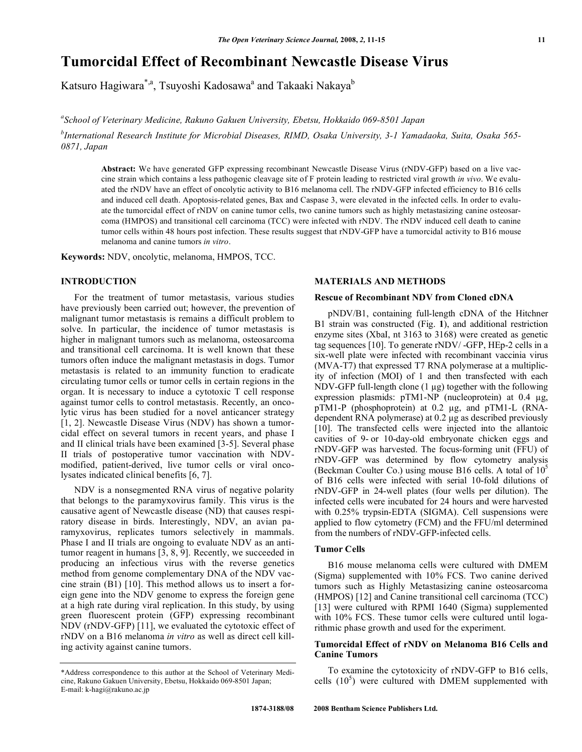# **Tumorcidal Effect of Recombinant Newcastle Disease Virus**

Katsuro Hagiwara<sup>\*,a</sup>, Tsuyoshi Kadosawa<sup>a</sup> and Takaaki Nakaya<sup>b</sup>

*a School of Veterinary Medicine, Rakuno Gakuen University, Ebetsu, Hokkaido 069-8501 Japan* 

*b International Research Institute for Microbial Diseases, RIMD, Osaka University, 3-1 Yamadaoka, Suita, Osaka 565- 0871, Japan* 

**Abstract:** We have generated GFP expressing recombinant Newcastle Disease Virus (rNDV-GFP) based on a live vaccine strain which contains a less pathogenic cleavage site of F protein leading to restricted viral growth *in vivo*. We evaluated the rNDV have an effect of oncolytic activity to B16 melanoma cell. The rNDV-GFP infected efficiency to B16 cells and induced cell death. Apoptosis-related genes, Bax and Caspase 3, were elevated in the infected cells. In order to evaluate the tumorcidal effect of rNDV on canine tumor cells, two canine tumors such as highly metastasizing canine osteosarcoma (HMPOS) and transitional cell carcinoma (TCC) were infected with rNDV. The rNDV induced cell death to canine tumor cells within 48 hours post infection. These results suggest that rNDV-GFP have a tumorcidal activity to B16 mouse melanoma and canine tumors *in vitro*.

**Keywords:** NDV, oncolytic, melanoma, HMPOS, TCC.

# **INTRODUCTION**

 For the treatment of tumor metastasis, various studies have previously been carried out; however, the prevention of malignant tumor metastasis is remains a difficult problem to solve. In particular, the incidence of tumor metastasis is higher in malignant tumors such as melanoma, osteosarcoma and transitional cell carcinoma. It is well known that these tumors often induce the malignant metastasis in dogs. Tumor metastasis is related to an immunity function to eradicate circulating tumor cells or tumor cells in certain regions in the organ. It is necessary to induce a cytotoxic T cell response against tumor cells to control metastasis. Recently, an oncolytic virus has been studied for a novel anticancer strategy [1, 2]. Newcastle Disease Virus (NDV) has shown a tumorcidal effect on several tumors in recent years, and phase I and II clinical trials have been examined [3-5]. Several phase II trials of postoperative tumor vaccination with NDVmodified, patient-derived, live tumor cells or viral oncolysates indicated clinical benefits [6, 7].

 NDV is a nonsegmented RNA virus of negative polarity that belongs to the paramyxovirus family. This virus is the causative agent of Newcastle disease (ND) that causes respiratory disease in birds. Interestingly, NDV, an avian paramyxovirus, replicates tumors selectively in mammals. Phase I and II trials are ongoing to evaluate NDV as an antitumor reagent in humans [3, 8, 9]. Recently, we succeeded in producing an infectious virus with the reverse genetics method from genome complementary DNA of the NDV vaccine strain (B1) [10]. This method allows us to insert a foreign gene into the NDV genome to express the foreign gene at a high rate during viral replication. In this study, by using green fluorescent protein (GFP) expressing recombinant NDV (rNDV-GFP) [11], we evaluated the cytotoxic effect of rNDV on a B16 melanoma *in vitro* as well as direct cell killing activity against canine tumors.

# **MATERIALS AND METHODS**

#### **Rescue of Recombinant NDV from Cloned cDNA**

 pNDV/B1, containing full-length cDNA of the Hitchner B1 strain was constructed (Fig. **1**), and additional restriction enzyme sites (XbaI, nt 3163 to 3168) were created as genetic tag sequences [10]. To generate rNDV/ -GFP, HEp-2 cells in a six-well plate were infected with recombinant vaccinia virus (MVA-T7) that expressed T7 RNA polymerase at a multiplicity of infection (MOI) of 1 and then transfected with each NDV-GFP full-length clone  $(1 \mu g)$  together with the following expression plasmids:  $pTMI-NP$  (nucleoprotein) at 0.4  $\mu$ g, pTM1-P (phosphoprotein) at 0.2 µg, and pTM1-L (RNAdependent RNA polymerase) at  $0.2 \mu$ g as described previously [10]. The transfected cells were injected into the allantoic cavities of 9- or 10-day-old embryonate chicken eggs and rNDV-GFP was harvested. The focus-forming unit (FFU) of rNDV-GFP was determined by flow cytometry analysis (Beckman Coulter Co.) using mouse B16 cells. A total of 105 of B16 cells were infected with serial 10-fold dilutions of rNDV-GFP in 24-well plates (four wells per dilution). The infected cells were incubated for 24 hours and were harvested with 0.25% trypsin-EDTA (SIGMA). Cell suspensions were applied to flow cytometry (FCM) and the FFU/ml determined from the numbers of rNDV-GFP-infected cells.

# **Tumor Cells**

 B16 mouse melanoma cells were cultured with DMEM (Sigma) supplemented with 10% FCS. Two canine derived tumors such as Highly Metastasizing canine osteosarcoma (HMPOS) [12] and Canine transitional cell carcinoma (TCC) [13] were cultured with RPMI 1640 (Sigma) supplemented with 10% FCS. These tumor cells were cultured until logarithmic phase growth and used for the experiment.

### **Tumorcidal Effect of rNDV on Melanoma B16 Cells and Canine Tumors**

 To examine the cytotoxicity of rNDV-GFP to B16 cells, cells  $(10^5)$  were cultured with DMEM supplemented with

<sup>\*</sup>Address correspondence to this author at the School of Veterinary Medicine, Rakuno Gakuen University, Ebetsu, Hokkaido 069-8501 Japan; E-mail: k-hagi@rakuno.ac.jp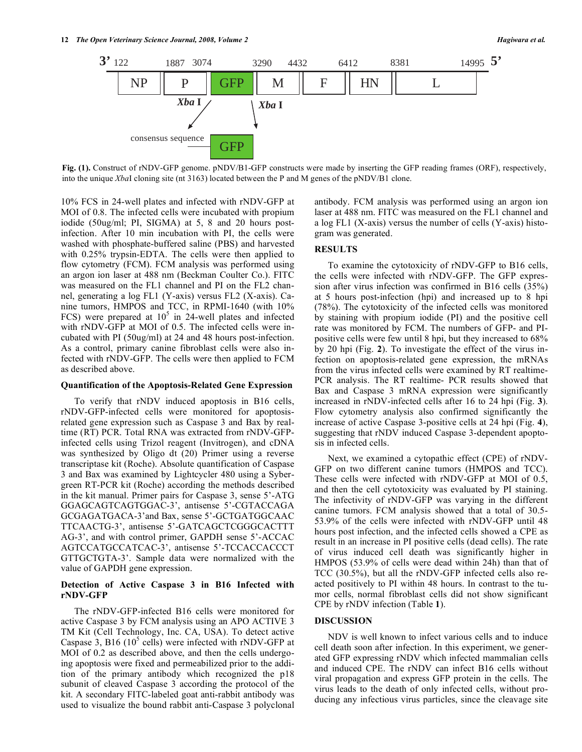

**Fig. (1).** Construct of rNDV-GFP genome. pNDV/B1-GFP constructs were made by inserting the GFP reading frames (ORF), respectively, into the unique *Xba*I cloning site (nt 3163) located between the P and M genes of the pNDV/B1 clone.

10% FCS in 24-well plates and infected with rNDV-GFP at MOI of 0.8. The infected cells were incubated with propium iodide (50ug/ml; PI, SIGMA) at 5, 8 and 20 hours postinfection. After 10 min incubation with PI, the cells were washed with phosphate-buffered saline (PBS) and harvested with 0.25% trypsin-EDTA. The cells were then applied to flow cytometry (FCM). FCM analysis was performed using an argon ion laser at 488 nm (Beckman Coulter Co.). FITC was measured on the FL1 channel and PI on the FL2 channel, generating a log FL1 (Y-axis) versus FL2 (X-axis). Canine tumors, HMPOS and TCC, in RPMI-1640 (with 10% FCS) were prepared at  $10^5$  in 24-well plates and infected with rNDV-GFP at MOI of 0.5. The infected cells were incubated with PI (50ug/ml) at 24 and 48 hours post-infection. As a control, primary canine fibroblast cells were also infected with rNDV-GFP. The cells were then applied to FCM as described above.

#### **Quantification of the Apoptosis-Related Gene Expression**

 To verify that rNDV induced apoptosis in B16 cells, rNDV-GFP-infected cells were monitored for apoptosisrelated gene expression such as Caspase 3 and Bax by realtime (RT) PCR. Total RNA was extracted from rNDV-GFPinfected cells using Trizol reagent (Invitrogen), and cDNA was synthesized by Oligo dt (20) Primer using a reverse transcriptase kit (Roche). Absolute quantification of Caspase 3 and Bax was examined by Lightcycler 480 using a Sybergreen RT-PCR kit (Roche) according the methods described in the kit manual. Primer pairs for Caspase 3, sense 5'-ATG GGAGCAGTCAGTGGAC-3', antisense 5'-CGTACCAGA GCGAGATGACA-3'and Bax, sense 5'-GCTGATGGCAAC TTCAACTG-3', antisense 5'-GATCAGCTCGGGCACTTT AG-3', and with control primer, GAPDH sense 5'-ACCAC AGTCCATGCCATCAC-3', antisense 5'-TCCACCACCCT GTTGCTGTA-3'. Sample data were normalized with the value of GAPDH gene expression.

#### **Detection of Active Caspase 3 in B16 Infected with rNDV-GFP**

 The rNDV-GFP-infected B16 cells were monitored for active Caspase 3 by FCM analysis using an APO ACTIVE 3 TM Kit (Cell Technology, Inc. CA, USA). To detect active Caspase  $3$ , B16 (10<sup>5</sup> cells) were infected with rNDV-GFP at MOI of 0.2 as described above, and then the cells undergoing apoptosis were fixed and permeabilized prior to the addition of the primary antibody which recognized the p18 subunit of cleaved Caspase 3 according the protocol of the kit. A secondary FITC-labeled goat anti-rabbit antibody was used to visualize the bound rabbit anti-Caspase 3 polyclonal

antibody. FCM analysis was performed using an argon ion laser at 488 nm. FITC was measured on the FL1 channel and a log FL1 (X-axis) versus the number of cells (Y-axis) histogram was generated.

# **RESULTS**

 To examine the cytotoxicity of rNDV-GFP to B16 cells, the cells were infected with rNDV-GFP. The GFP expression after virus infection was confirmed in B16 cells (35%) at 5 hours post-infection (hpi) and increased up to 8 hpi (78%). The cytotoxicity of the infected cells was monitored by staining with propium iodide (PI) and the positive cell rate was monitored by FCM. The numbers of GFP- and PIpositive cells were few until 8 hpi, but they increased to 68% by 20 hpi (Fig. **2**). To investigate the effect of the virus infection on apoptosis-related gene expression, the mRNAs from the virus infected cells were examined by RT realtime-PCR analysis. The RT realtime- PCR results showed that Bax and Caspase 3 mRNA expression were significantly increased in rNDV-infected cells after 16 to 24 hpi (Fig. **3**). Flow cytometry analysis also confirmed significantly the increase of active Caspase 3-positive cells at 24 hpi (Fig. **4**), suggesting that rNDV induced Caspase 3-dependent apoptosis in infected cells.

 Next, we examined a cytopathic effect (CPE) of rNDV-GFP on two different canine tumors (HMPOS and TCC). These cells were infected with rNDV-GFP at MOI of 0.5, and then the cell cytotoxicity was evaluated by PI staining. The infectivity of rNDV-GFP was varying in the different canine tumors. FCM analysis showed that a total of 30.5- 53.9% of the cells were infected with rNDV-GFP until 48 hours post infection, and the infected cells showed a CPE as result in an increase in PI positive cells (dead cells). The rate of virus induced cell death was significantly higher in HMPOS (53.9% of cells were dead within 24h) than that of TCC (30.5%), but all the rNDV-GFP infected cells also reacted positively to PI within 48 hours. In contrast to the tumor cells, normal fibroblast cells did not show significant CPE by rNDV infection (Table **1**).

#### **DISCUSSION**

 NDV is well known to infect various cells and to induce cell death soon after infection. In this experiment, we generated GFP expressing rNDV which infected mammalian cells and induced CPE. The rNDV can infect B16 cells without viral propagation and express GFP protein in the cells. The virus leads to the death of only infected cells, without producing any infectious virus particles, since the cleavage site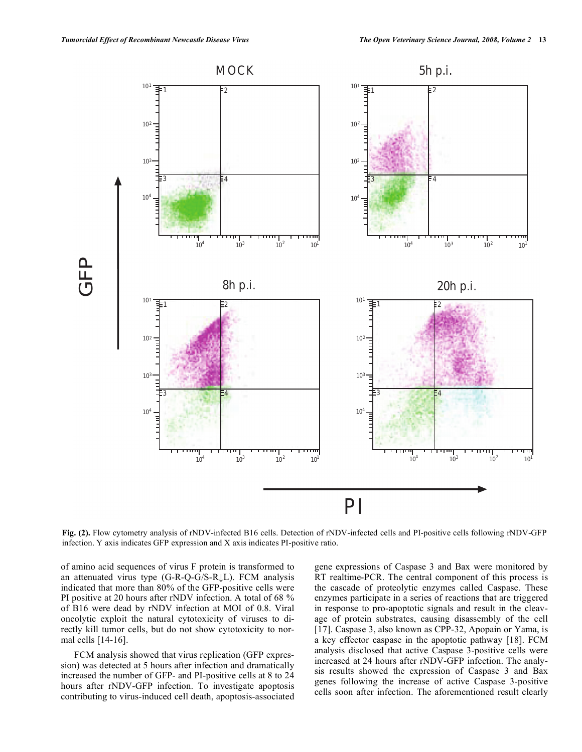

**Fig. (2).** Flow cytometry analysis of rNDV-infected B16 cells. Detection of rNDV-infected cells and PI-positive cells following rNDV-GFP infection. Y axis indicates GFP expression and X axis indicates PI-positive ratio.

of amino acid sequences of virus F protein is transformed to an attenuated virus type  $(G-R-Q-G/S-R\downarrow L)$ . FCM analysis indicated that more than 80% of the GFP-positive cells were PI positive at 20 hours after rNDV infection. A total of 68 % of B16 were dead by rNDV infection at MOI of 0.8. Viral oncolytic exploit the natural cytotoxicity of viruses to directly kill tumor cells, but do not show cytotoxicity to normal cells [14-16].

 FCM analysis showed that virus replication (GFP expression) was detected at 5 hours after infection and dramatically increased the number of GFP- and PI-positive cells at 8 to 24 hours after rNDV-GFP infection. To investigate apoptosis contributing to virus-induced cell death, apoptosis-associated

gene expressions of Caspase 3 and Bax were monitored by RT realtime-PCR. The central component of this process is the cascade of proteolytic enzymes called Caspase. These enzymes participate in a series of reactions that are triggered in response to pro-apoptotic signals and result in the cleavage of protein substrates, causing disassembly of the cell [17]. Caspase 3, also known as CPP-32, Apopain or Yama, is a key effector caspase in the apoptotic pathway [18]. FCM analysis disclosed that active Caspase 3-positive cells were increased at 24 hours after rNDV-GFP infection. The analysis results showed the expression of Caspase 3 and Bax genes following the increase of active Caspase 3-positive cells soon after infection. The aforementioned result clearly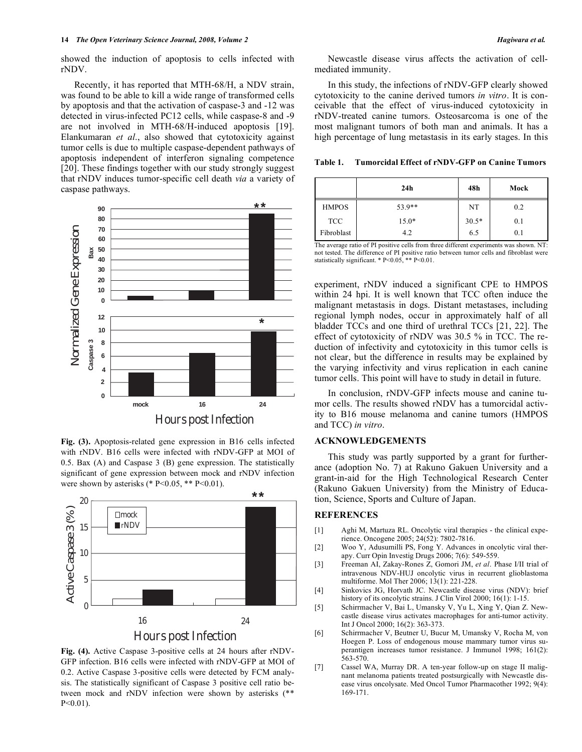showed the induction of apoptosis to cells infected with rNDV.

 Recently, it has reported that MTH-68/H, a NDV strain, was found to be able to kill a wide range of transformed cells by apoptosis and that the activation of caspase-3 and -12 was detected in virus-infected PC12 cells, while caspase-8 and -9 are not involved in MTH-68/H-induced apoptosis [19]. Elankumaran *et al*., also showed that cytotoxicity against tumor cells is due to multiple caspase-dependent pathways of apoptosis independent of interferon signaling competence [20]. These findings together with our study strongly suggest that rNDV induces tumor-specific cell death *via* a variety of caspase pathways.



**Fig. (3).** Apoptosis-related gene expression in B16 cells infected with rNDV. B16 cells were infected with rNDV-GFP at MOI of 0.5. Bax (A) and Caspase 3 (B) gene expression. The statistically significant of gene expression between mock and rNDV infection were shown by asterisks (\*  $P \le 0.05$ , \*\*  $P \le 0.01$ ).



**Fig. (4).** Active Caspase 3-positive cells at 24 hours after rNDV-GFP infection. B16 cells were infected with rNDV-GFP at MOI of 0.2. Active Caspase 3-positive cells were detected by FCM analysis. The statistically significant of Caspase 3 positive cell ratio between mock and rNDV infection were shown by asterisks (\*\* P<0.01).

 Newcastle disease virus affects the activation of cellmediated immunity.

 In this study, the infections of rNDV-GFP clearly showed cytotoxicity to the canine derived tumors *in vitro*. It is conceivable that the effect of virus-induced cytotoxicity in rNDV-treated canine tumors. Osteosarcoma is one of the most malignant tumors of both man and animals. It has a high percentage of lung metastasis in its early stages. In this

**Table 1. Tumorcidal Effect of rNDV-GFP on Canine Tumors** 

|              | 24h     | 48h     | Mock |
|--------------|---------|---------|------|
| <b>HMPOS</b> | 53.9**  | NT      | 0.2  |
| <b>TCC</b>   | $15.0*$ | $30.5*$ | 0.1  |
| Fibroblast   | 4.2     | 6.5     | 0.1  |

The average ratio of PI positive cells from three different experiments was shown. NT: not tested. The difference of PI positive ratio between tumor cells and fibroblast were statistically significant. \* P<0.05, \*\* P<0.01.

experiment, rNDV induced a significant CPE to HMPOS within 24 hpi. It is well known that TCC often induce the malignant metastasis in dogs. Distant metastases, including regional lymph nodes, occur in approximately half of all bladder TCCs and one third of urethral TCCs [21, 22]. The effect of cytotoxicity of rNDV was 30.5 % in TCC. The reduction of infectivity and cytotoxicity in this tumor cells is not clear, but the difference in results may be explained by the varying infectivity and virus replication in each canine tumor cells. This point will have to study in detail in future.

 In conclusion, rNDV-GFP infects mouse and canine tumor cells. The results showed rNDV has a tumorcidal activity to B16 mouse melanoma and canine tumors (HMPOS and TCC) *in vitro*.

# **ACKNOWLEDGEMENTS**

 This study was partly supported by a grant for furtherance (adoption No. 7) at Rakuno Gakuen University and a grant-in-aid for the High Technological Research Center (Rakuno Gakuen University) from the Ministry of Education, Science, Sports and Culture of Japan.

### **REFERENCES**

- [1] Aghi M, Martuza RL. Oncolytic viral therapies the clinical experience. Oncogene 2005; 24(52): 7802-7816.
- [2] Woo Y, Adusumilli PS, Fong Y. Advances in oncolytic viral therapy. Curr Opin Investig Drugs 2006; 7(6): 549-559.
- [3] Freeman AI, Zakay-Rones Z, Gomori JM, *et al*. Phase I/II trial of intravenous NDV-HUJ oncolytic virus in recurrent glioblastoma multiforme. Mol Ther 2006; 13(1): 221-228.
- [4] Sinkovics JG, Horvath JC. Newcastle disease virus (NDV): brief history of its oncolytic strains. J Clin Virol 2000; 16(1): 1-15.
- [5] Schirrmacher V, Bai L, Umansky V, Yu L, Xing Y, Qian Z. Newcastle disease virus activates macrophages for anti-tumor activity. Int J Oncol 2000; 16(2): 363-373.
- [6] Schirrmacher V, Beutner U, Bucur M, Umansky V, Rocha M, von Hoegen P. Loss of endogenous mouse mammary tumor virus superantigen increases tumor resistance. J Immunol 1998; 161(2): 563-570.
- [7] Cassel WA, Murray DR. A ten-year follow-up on stage II malignant melanoma patients treated postsurgically with Newcastle disease virus oncolysate. Med Oncol Tumor Pharmacother 1992; 9(4): 169-171.